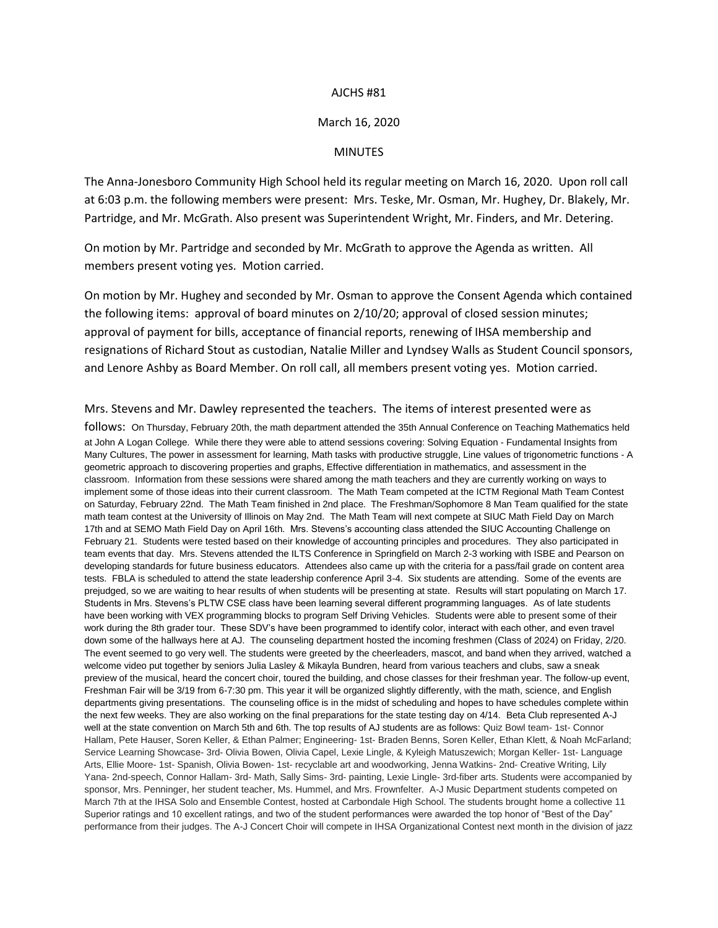### AJCHS #81

#### March 16, 2020

### MINUTES

The Anna-Jonesboro Community High School held its regular meeting on March 16, 2020. Upon roll call at 6:03 p.m. the following members were present: Mrs. Teske, Mr. Osman, Mr. Hughey, Dr. Blakely, Mr. Partridge, and Mr. McGrath. Also present was Superintendent Wright, Mr. Finders, and Mr. Detering.

On motion by Mr. Partridge and seconded by Mr. McGrath to approve the Agenda as written. All members present voting yes. Motion carried.

On motion by Mr. Hughey and seconded by Mr. Osman to approve the Consent Agenda which contained the following items: approval of board minutes on 2/10/20; approval of closed session minutes; approval of payment for bills, acceptance of financial reports, renewing of IHSA membership and resignations of Richard Stout as custodian, Natalie Miller and Lyndsey Walls as Student Council sponsors, and Lenore Ashby as Board Member. On roll call, all members present voting yes. Motion carried.

## Mrs. Stevens and Mr. Dawley represented the teachers. The items of interest presented were as

follows: On Thursday, February 20th, the math department attended the 35th Annual Conference on Teaching Mathematics held at John A Logan College. While there they were able to attend sessions covering: Solving Equation - Fundamental Insights from Many Cultures, The power in assessment for learning, Math tasks with productive struggle, Line values of trigonometric functions - A geometric approach to discovering properties and graphs, Effective differentiation in mathematics, and assessment in the classroom. Information from these sessions were shared among the math teachers and they are currently working on ways to implement some of those ideas into their current classroom. The Math Team competed at the ICTM Regional Math Team Contest on Saturday, February 22nd. The Math Team finished in 2nd place. The Freshman/Sophomore 8 Man Team qualified for the state math team contest at the University of Illinois on May 2nd. The Math Team will next compete at SIUC Math Field Day on March 17th and at SEMO Math Field Day on April 16th. Mrs. Stevens's accounting class attended the SIUC Accounting Challenge on February 21. Students were tested based on their knowledge of accounting principles and procedures. They also participated in team events that day. Mrs. Stevens attended the ILTS Conference in Springfield on March 2-3 working with ISBE and Pearson on developing standards for future business educators. Attendees also came up with the criteria for a pass/fail grade on content area tests. FBLA is scheduled to attend the state leadership conference April 3-4. Six students are attending. Some of the events are prejudged, so we are waiting to hear results of when students will be presenting at state. Results will start populating on March 17. Students in Mrs. Stevens's PLTW CSE class have been learning several different programming languages. As of late students have been working with VEX programming blocks to program Self Driving Vehicles. Students were able to present some of their work during the 8th grader tour. These SDV's have been programmed to identify color, interact with each other, and even travel down some of the hallways here at AJ. The counseling department hosted the incoming freshmen (Class of 2024) on Friday, 2/20. The event seemed to go very well. The students were greeted by the cheerleaders, mascot, and band when they arrived, watched a welcome video put together by seniors Julia Lasley & Mikayla Bundren, heard from various teachers and clubs, saw a sneak preview of the musical, heard the concert choir, toured the building, and chose classes for their freshman year. The follow-up event, Freshman Fair will be 3/19 from 6-7:30 pm. This year it will be organized slightly differently, with the math, science, and English departments giving presentations. The counseling office is in the midst of scheduling and hopes to have schedules complete within the next few weeks. They are also working on the final preparations for the state testing day on 4/14. Beta Club represented A-J well at the state convention on March 5th and 6th. The top results of AJ students are as follows: Quiz Bowl team- 1st- Connor Hallam, Pete Hauser, Soren Keller, & Ethan Palmer; Engineering- 1st- Braden Benns, Soren Keller, Ethan Klett, & Noah McFarland; Service Learning Showcase- 3rd- Olivia Bowen, Olivia Capel, Lexie Lingle, & Kyleigh Matuszewich; Morgan Keller- 1st- Language Arts, Ellie Moore- 1st- Spanish, Olivia Bowen- 1st- recyclable art and woodworking, Jenna Watkins- 2nd- Creative Writing, Lily Yana- 2nd-speech, Connor Hallam- 3rd- Math, Sally Sims- 3rd- painting, Lexie Lingle- 3rd-fiber arts. Students were accompanied by sponsor, Mrs. Penninger, her student teacher, Ms. Hummel, and Mrs. Frownfelter. A-J Music Department students competed on March 7th at the IHSA Solo and Ensemble Contest, hosted at Carbondale High School. The students brought home a collective 11 Superior ratings and 10 excellent ratings, and two of the student performances were awarded the top honor of "Best of the Day" performance from their judges. The A-J Concert Choir will compete in IHSA Organizational Contest next month in the division of jazz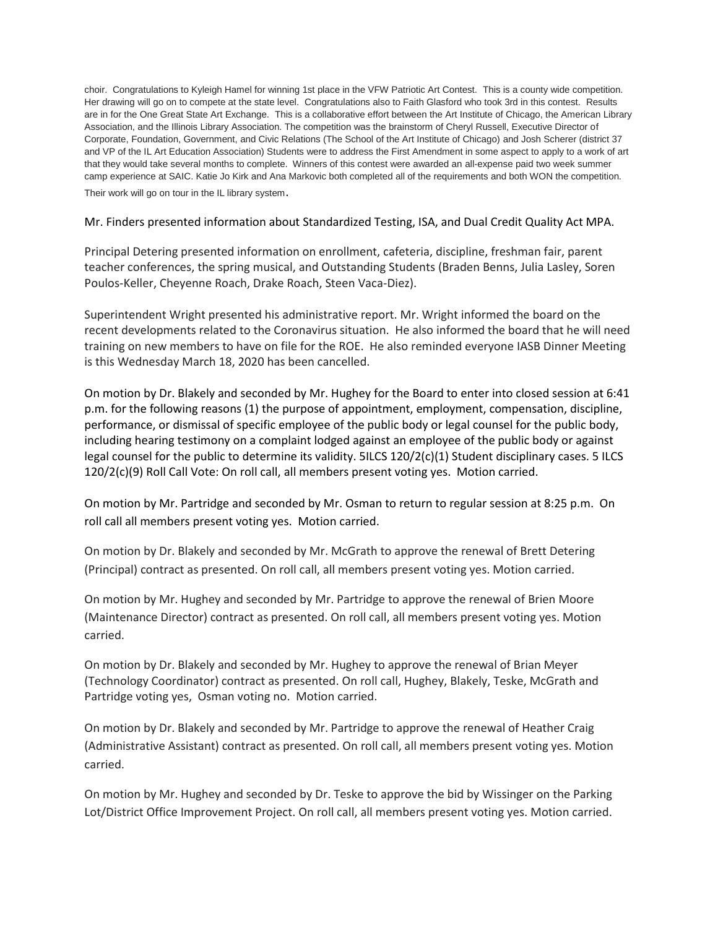choir. Congratulations to Kyleigh Hamel for winning 1st place in the VFW Patriotic Art Contest. This is a county wide competition. Her drawing will go on to compete at the state level. Congratulations also to Faith Glasford who took 3rd in this contest. Results are in for the One Great State Art Exchange. This is a collaborative effort between the Art Institute of Chicago, the American Library Association, and the Illinois Library Association. The competition was the brainstorm of Cheryl Russell, Executive Director of Corporate, Foundation, Government, and Civic Relations (The School of the Art Institute of Chicago) and Josh Scherer (district 37 and VP of the IL Art Education Association) Students were to address the First Amendment in some aspect to apply to a work of art that they would take several months to complete. Winners of this contest were awarded an all-expense paid two week summer camp experience at SAIC. Katie Jo Kirk and Ana Markovic both completed all of the requirements and both WON the competition.

Their work will go on tour in the IL library system.

# Mr. Finders presented information about Standardized Testing, ISA, and Dual Credit Quality Act MPA.

Principal Detering presented information on enrollment, cafeteria, discipline, freshman fair, parent teacher conferences, the spring musical, and Outstanding Students (Braden Benns, Julia Lasley, Soren Poulos-Keller, Cheyenne Roach, Drake Roach, Steen Vaca-Diez).

Superintendent Wright presented his administrative report. Mr. Wright informed the board on the recent developments related to the Coronavirus situation. He also informed the board that he will need training on new members to have on file for the ROE. He also reminded everyone IASB Dinner Meeting is this Wednesday March 18, 2020 has been cancelled.

On motion by Dr. Blakely and seconded by Mr. Hughey for the Board to enter into closed session at 6:41 p.m. for the following reasons (1) the purpose of appointment, employment, compensation, discipline, performance, or dismissal of specific employee of the public body or legal counsel for the public body, including hearing testimony on a complaint lodged against an employee of the public body or against legal counsel for the public to determine its validity. 5ILCS 120/2(c)(1) Student disciplinary cases. 5 ILCS 120/2(c)(9) Roll Call Vote: On roll call, all members present voting yes. Motion carried.

On motion by Mr. Partridge and seconded by Mr. Osman to return to regular session at 8:25 p.m. On roll call all members present voting yes. Motion carried.

On motion by Dr. Blakely and seconded by Mr. McGrath to approve the renewal of Brett Detering (Principal) contract as presented. On roll call, all members present voting yes. Motion carried.

On motion by Mr. Hughey and seconded by Mr. Partridge to approve the renewal of Brien Moore (Maintenance Director) contract as presented. On roll call, all members present voting yes. Motion carried.

On motion by Dr. Blakely and seconded by Mr. Hughey to approve the renewal of Brian Meyer (Technology Coordinator) contract as presented. On roll call, Hughey, Blakely, Teske, McGrath and Partridge voting yes, Osman voting no. Motion carried.

On motion by Dr. Blakely and seconded by Mr. Partridge to approve the renewal of Heather Craig (Administrative Assistant) contract as presented. On roll call, all members present voting yes. Motion carried.

On motion by Mr. Hughey and seconded by Dr. Teske to approve the bid by Wissinger on the Parking Lot/District Office Improvement Project. On roll call, all members present voting yes. Motion carried.